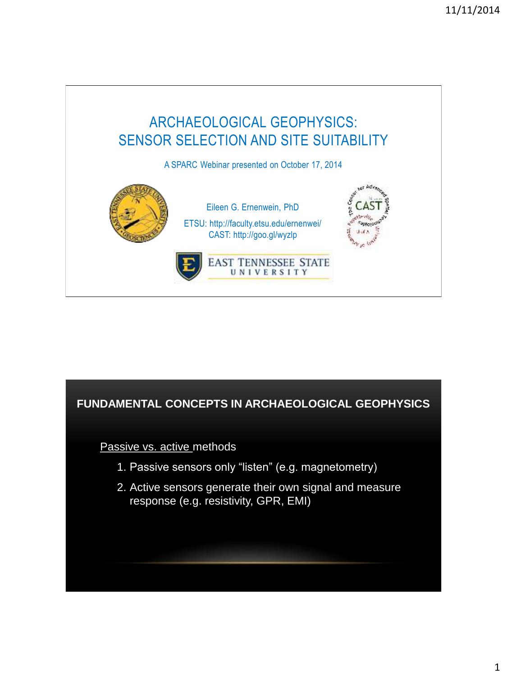

# **FUNDAMENTAL CONCEPTS IN ARCHAEOLOGICAL GEOPHYSICS**

Passive vs. active methods

- 1. Passive sensors only "listen" (e.g. magnetometry)
- 2. Active sensors generate their own signal and measure response (e.g. resistivity, GPR, EMI)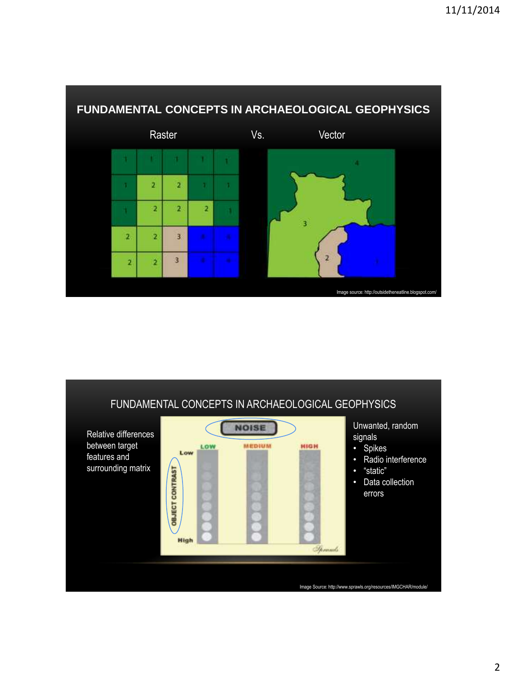



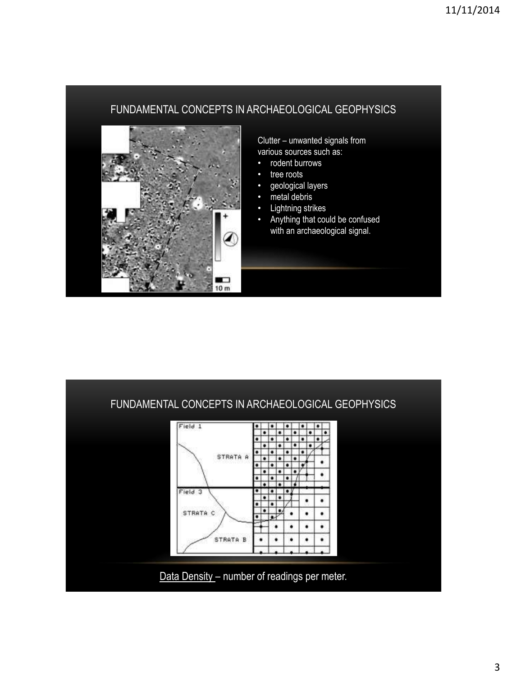## FUNDAMENTAL CONCEPTS IN ARCHAEOLOGICAL GEOPHYSICS



Clutter – unwanted signals from various sources such as:

- rodent burrows
- tree roots
- geological layers
- metal debris
- Lightning strikes
- Anything that could be confused with an archaeological signal.

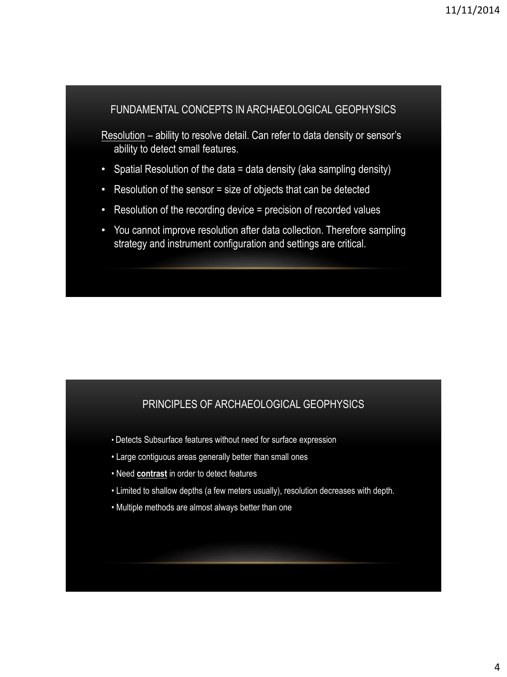### FUNDAMENTAL CONCEPTS IN ARCHAEOLOGICAL GEOPHYSICS

Resolution – ability to resolve detail. Can refer to data density or sensor's ability to detect small features.

- Spatial Resolution of the data = data density (aka sampling density)
- Resolution of the sensor = size of objects that can be detected
- Resolution of the recording device = precision of recorded values
- You cannot improve resolution after data collection. Therefore sampling strategy and instrument configuration and settings are critical.

#### PRINCIPLES OF ARCHAEOLOGICAL GEOPHYSICS

- Detects Subsurface features without need for surface expression
- Large contiguous areas generally better than small ones
- Need **contrast** in order to detect features
- Limited to shallow depths (a few meters usually), resolution decreases with depth.
- Multiple methods are almost always better than one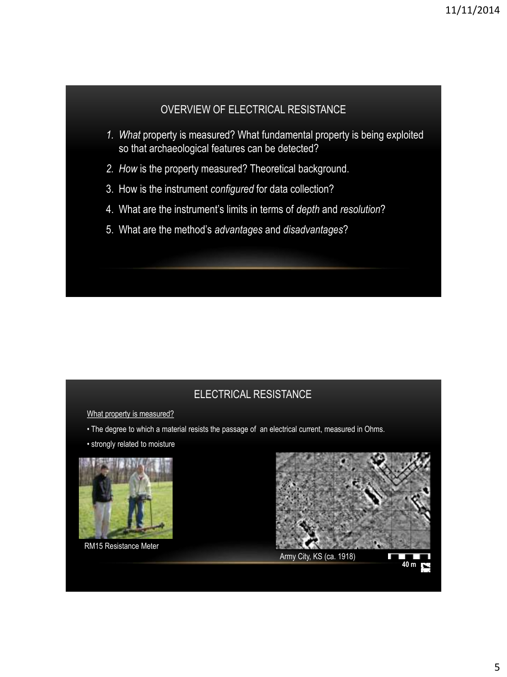## OVERVIEW OF ELECTRICAL RESISTANCE

- *1. What* property is measured? What fundamental property is being exploited so that archaeological features can be detected?
- *2. How* is the property measured? Theoretical background.
- 3. How is the instrument *configured* for data collection?
- 4. What are the instrument's limits in terms of *depth* and *resolution*?
- 5. What are the method's *advantages* and *disadvantages*?

# ELECTRICAL RESISTANCE

What property is measured?

- The degree to which a material resists the passage of an electrical current, measured in Ohms.
- strongly related to moisture



RM15 Resistance Meter



Army City, KS (ca. 1918)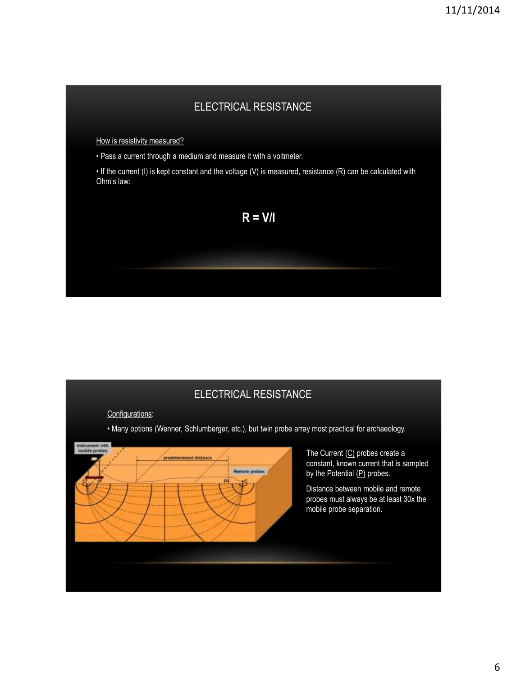# ELECTRICAL RESISTANCE

How is resistivity measured?

• Pass a current through a medium and measure it with a voltmeter.

• If the current (I) is kept constant and the voltage (V) is measured, resistance (R) can be calculated with Ohm's law:



### ELECTRICAL RESISTANCE

Configurations:

• Many options (Wenner, Schlumberger, etc.), but twin probe array most practical for archaeology.

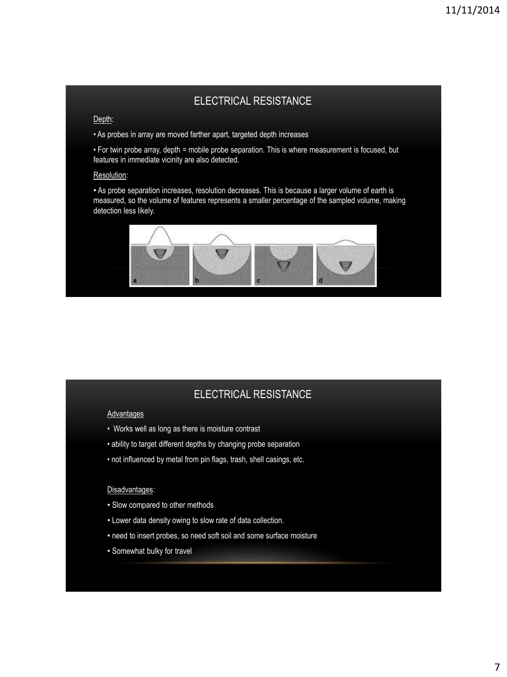## ELECTRICAL RESISTANCE

#### Depth:

• As probes in array are moved farther apart, targeted depth increases

• For twin probe array, depth = mobile probe separation. This is where measurement is focused, but features in immediate vicinity are also detected.

#### Resolution:

• As probe separation increases, resolution decreases. This is because a larger volume of earth is measured, so the volume of features represents a smaller percentage of the sampled volume, making detection less likely.



### ELECTRICAL RESISTANCE

#### Advantages

- Works well as long as there is moisture contrast
- ability to target different depths by changing probe separation
- not influenced by metal from pin flags, trash, shell casings, etc.

#### Disadvantages:

- Slow compared to other methods
- Lower data density owing to slow rate of data collection.
- need to insert probes, so need soft soil and some surface moisture
- Somewhat bulky for travel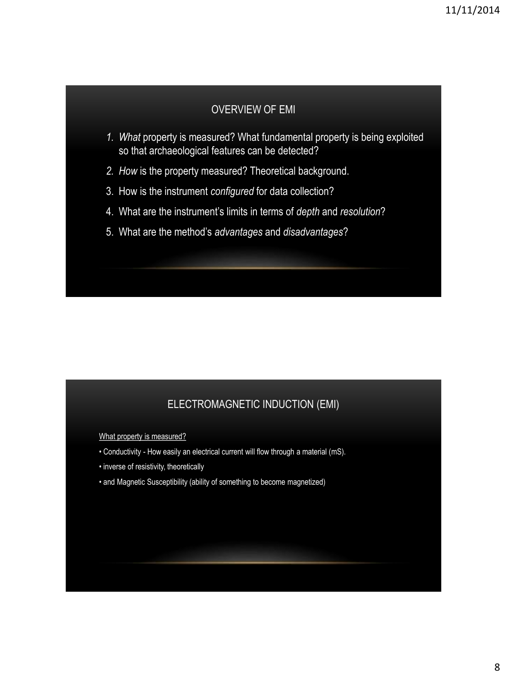#### OVERVIEW OF EMI

- *1. What* property is measured? What fundamental property is being exploited so that archaeological features can be detected?
- *2. How* is the property measured? Theoretical background.
- 3. How is the instrument *configured* for data collection?
- 4. What are the instrument's limits in terms of *depth* and *resolution*?
- 5. What are the method's *advantages* and *disadvantages*?

### ELECTROMAGNETIC INDUCTION (EMI)

What property is measured?

- Conductivity How easily an electrical current will flow through a material (mS).
- inverse of resistivity, theoretically
- and Magnetic Susceptibility (ability of something to become magnetized)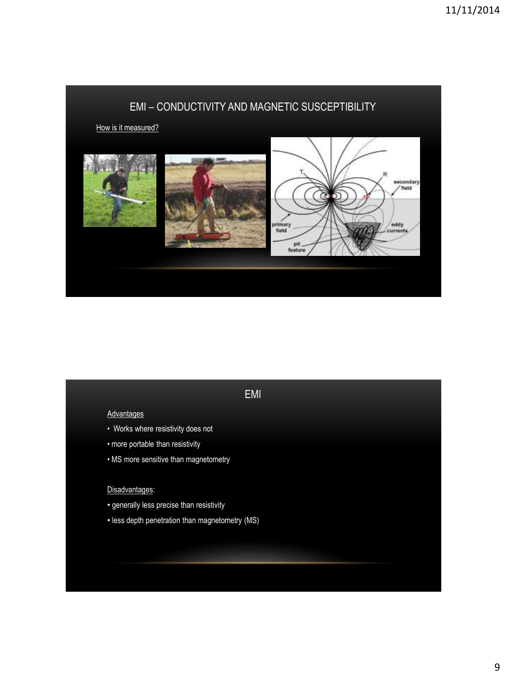

# EMI

#### **Advantages**

- Works where resistivity does not
- more portable than resistivity
- MS more sensitive than magnetometry

#### Disadvantages:

- generally less precise than resistivity
- less depth penetration than magnetometry (MS)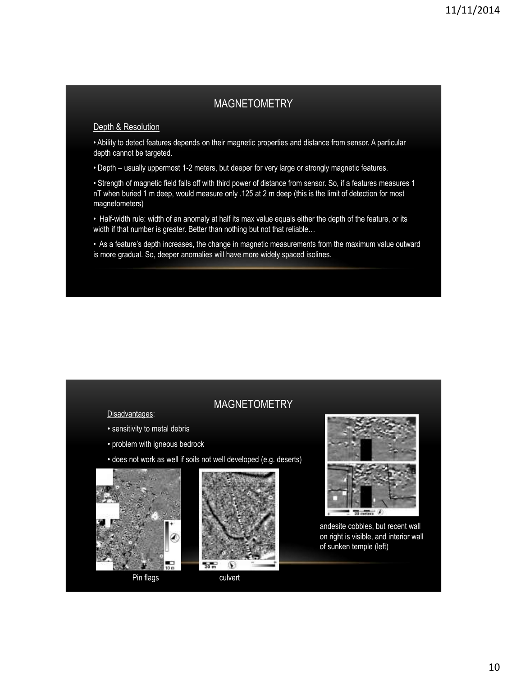## MAGNETOMETRY

#### Depth & Resolution

• Ability to detect features depends on their magnetic properties and distance from sensor. A particular depth cannot be targeted.

• Depth – usually uppermost 1-2 meters, but deeper for very large or strongly magnetic features.

• Strength of magnetic field falls off with third power of distance from sensor. So, if a features measures 1 nT when buried 1 m deep, would measure only .125 at 2 m deep (this is the limit of detection for most magnetometers)

• Half-width rule: width of an anomaly at half its max value equals either the depth of the feature, or its width if that number is greater. Better than nothing but not that reliable...

• As a feature's depth increases, the change in magnetic measurements from the maximum value outward is more gradual. So, deeper anomalies will have more widely spaced isolines.

| <b>MAGNETOMETRY</b> |  |
|---------------------|--|
|                     |  |

Disadvantages:

- sensitivity to metal debris
- problem with igneous bedrock
- does not work as well if soils not well developed (e.g. deserts)







andesite cobbles, but recent wall on right is visible, and interior wall of sunken temple (left)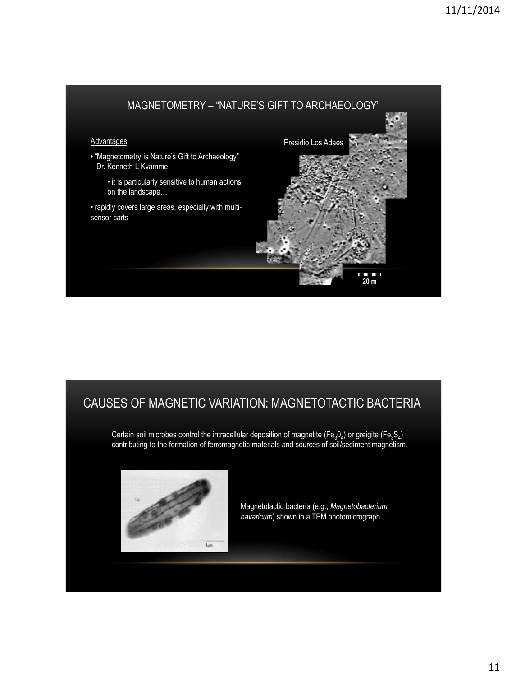

# CAUSES OF MAGNETIC VARIATION: MAGNETOTACTIC BACTERIA

Certain soil microbes control the intracellular deposition of magnetite (Fe<sub>3</sub>0<sub>4</sub>) or greigite (Fe<sub>3</sub>S<sub>4</sub>) contributing to the formation of ferromagnetic materials and sources of soil/sediment magnetism.



Magnetotactic bacteria (e.g., *Magnetobacterium bavaricum*) shown in a TEM photomicrograph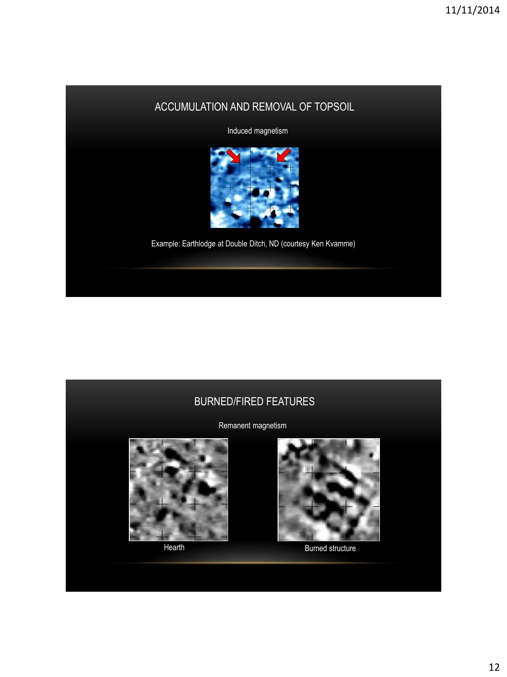# ACCUMULATION AND REMOVAL OF TOPSOIL

Induced magnetism



Example: Earthlodge at Double Ditch, ND (courtesy Ken Kvamme)

### BURNED/FIRED FEATURES

Remanent magnetism







Hearth Burned structure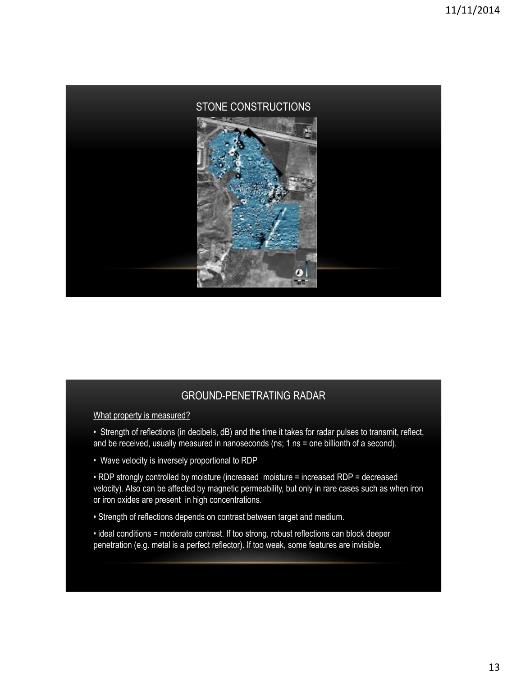

What property is measured?

- Strength of reflections (in decibels, dB) and the time it takes for radar pulses to transmit, reflect, and be received, usually measured in nanoseconds (ns; 1 ns = one billionth of a second).
- Wave velocity is inversely proportional to RDP

• RDP strongly controlled by moisture (increased moisture = increased RDP = decreased velocity). Also can be affected by magnetic permeability, but only in rare cases such as when iron or iron oxides are present in high concentrations.

- Strength of reflections depends on contrast between target and medium.
- ideal conditions = moderate contrast. If too strong, robust reflections can block deeper penetration (e.g. metal is a perfect reflector). If too weak, some features are invisible.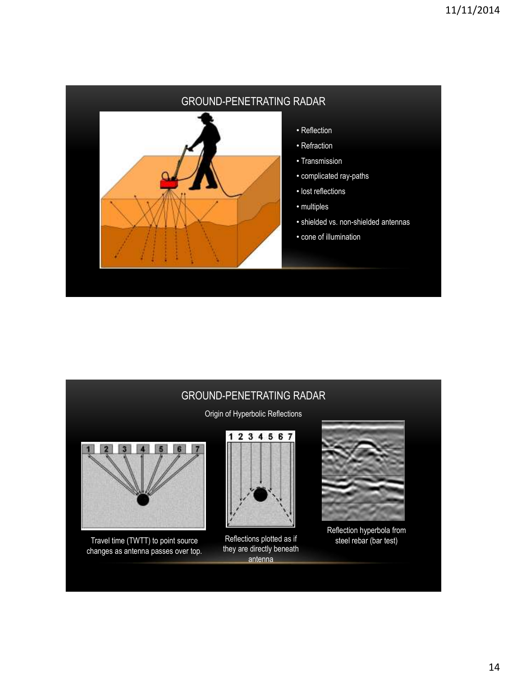

Origin of Hyperbolic Reflections



Travel time (TWTT) to point source changes as antenna passes over top.



Reflections plotted as if they are directly beneath antenna



Reflection hyperbola from steel rebar (bar test)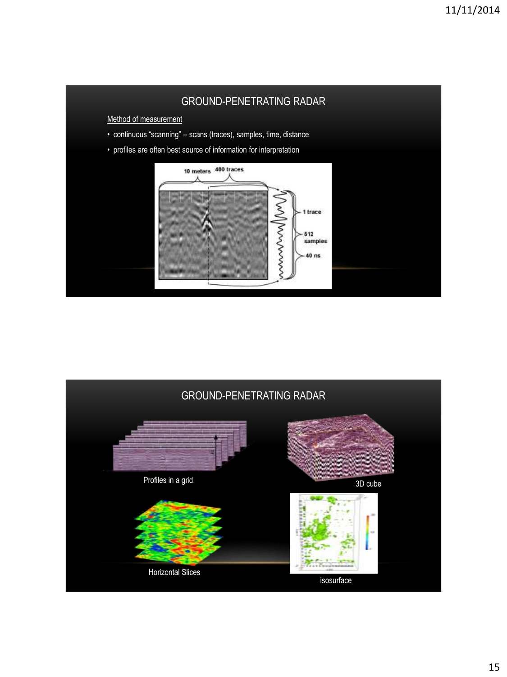

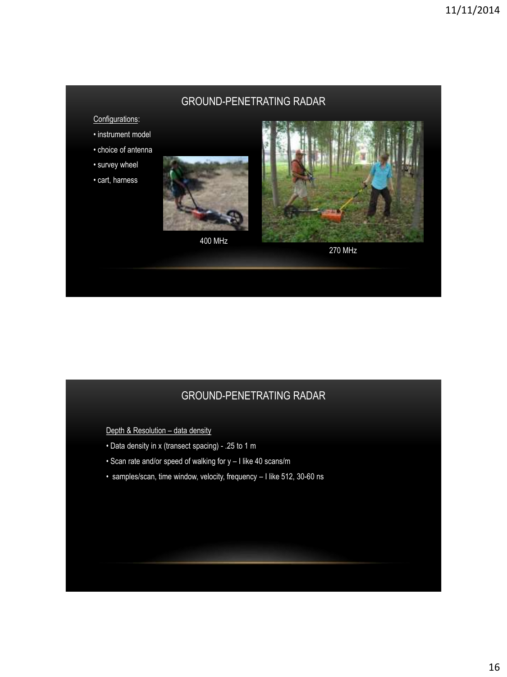#### Configurations:

- instrument model
- choice of antenna
- survey wheel
- cart, harness



400 MHz



270 MHz

## GROUND-PENETRATING RADAR

Depth & Resolution - data density

- Data density in x (transect spacing) .25 to 1 m
- Scan rate and/or speed of walking for y I like 40 scans/m
- samples/scan, time window, velocity, frequency I like 512, 30-60 ns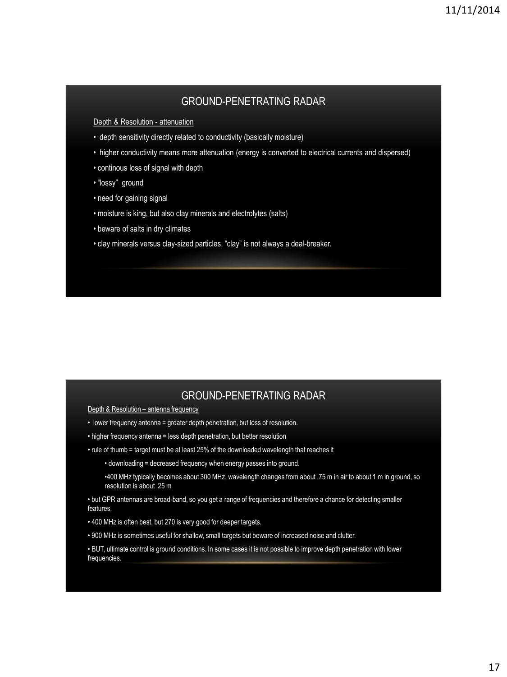Depth & Resolution - attenuation

- depth sensitivity directly related to conductivity (basically moisture)
- higher conductivity means more attenuation (energy is converted to electrical currents and dispersed)
- continous loss of signal with depth
- "lossy" ground
- need for gaining signal
- moisture is king, but also clay minerals and electrolytes (salts)
- beware of salts in dry climates
- clay minerals versus clay-sized particles. "clay" is not always a deal-breaker.

#### GROUND-PENETRATING RADAR

Depth & Resolution - antenna frequency

- lower frequency antenna = greater depth penetration, but loss of resolution.
- higher frequency antenna = less depth penetration, but better resolution
- rule of thumb = target must be at least 25% of the downloaded wavelength that reaches it
	- downloading = decreased frequency when energy passes into ground.
	- •400 MHz typically becomes about 300 MHz, wavelength changes from about .75 m in air to about 1 m in ground, so resolution is about .25 m
- but GPR antennas are broad-band, so you get a range of frequencies and therefore a chance for detecting smaller features.
- 400 MHz is often best, but 270 is very good for deeper targets.
- 900 MHz is sometimes useful for shallow, small targets but beware of increased noise and clutter.

• BUT, ultimate control is ground conditions. In some cases it is not possible to improve depth penetration with lower frequencies.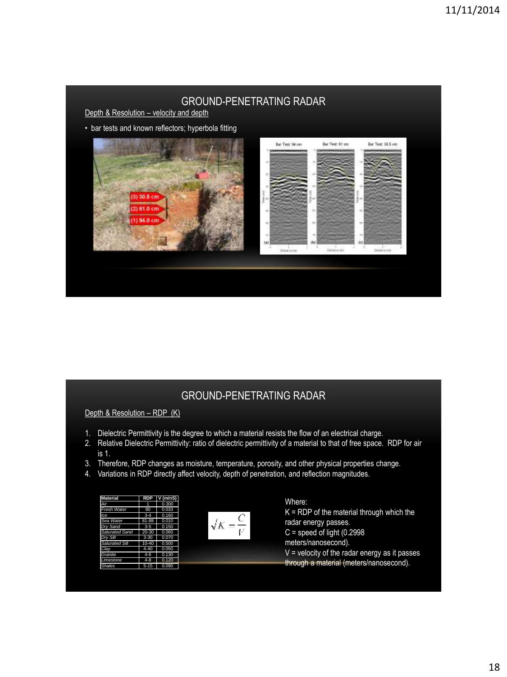Depth & Resolution - velocity and depth

• bar tests and known reflectors; hyperbola fitting



# GROUND-PENETRATING RADAR

Depth & Resolution - RDP (K)

- 1. Dielectric Permittivity is the degree to which a material resists the flow of an electrical charge.
- 2. Relative Dielectric Permittivity: ratio of dielectric permittivity of a material to that of free space. RDP for air is 1.
- 3. Therefore, RDP changes as moisture, temperature, porosity, and other physical properties change.
- 4. Variations in RDP directly affect velocity, depth of penetration, and reflection magnitudes.